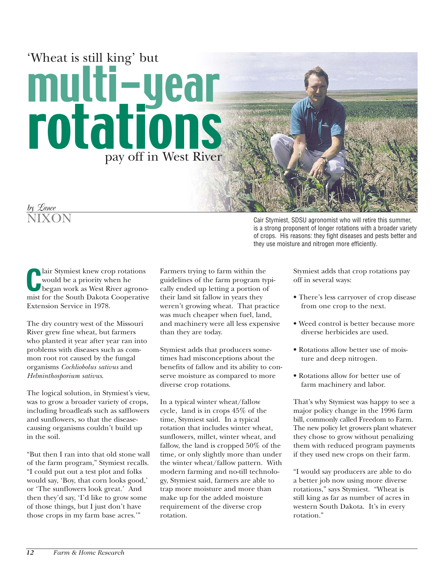

**C**<br>
lair Stymiest knew crop rotations<br>
would be a priority when he<br>
began work as West River agronomist for the South Dakota Cooperative lair Stymiest knew crop rotations would be a priority when he began work as West River agrono-Extension Service in 1978.

The dry country west of the Missouri River grew fine wheat, but farmers who planted it year after year ran into problems with diseases such as common root rot caused by the fungal organisms *Cochliobolus sativus* and *Helminthosporium sativus*.

The logical solution, in Stymiest's view, was to grow a broader variety of crops, including broadleafs such as safflowers and sunflowers, so that the diseasecausing organisms couldn't build up in the soil.

"But then I ran into that old stone wall of the farm program," Stymiest recalls. "I could put out a test plot and folks would say, 'Boy, that corn looks good,' or 'The sunflowers look great.' And then they'd say, 'I'd like to grow some of those things, but I just don't have those crops in my farm base acres.'"

Farmers trying to farm within the guidelines of the farm program typically ended up letting a portion of their land sit fallow in years they weren't growing wheat. That practice was much cheaper when fuel, land, and machinery were all less expensive than they are today.

Stymiest adds that producers sometimes had misconceptions about the benefits of fallow and its ability to conserve moisture as compared to more diverse crop rotations.

In a typical winter wheat/fallow cycle, land is in crops 45% of the time, Stymiest said. In a typical rotation that includes winter wheat, sunflowers, millet, winter wheat, and fallow, the land is cropped 50% of the time, or only slightly more than under the winter wheat/fallow pattern. With modern farming and no-till technology, Stymiest said, farmers are able to trap more moisture and more than make up for the added moisture requirement of the diverse crop rotation.

Cair Stymiest, SDSU agronomist who will retire this summer, is a strong proponent of longer rotations with a broader variety of crops. His reasons: they fight diseases and pests better and they use moisture and nitrogen more efficiently.

> Stymiest adds that crop rotations pay off in several ways:

- There's less carryover of crop disease from one crop to the next.
- Weed control is better because more diverse herbicides are used.
- Rotations allow better use of moisture and deep nitrogen.
- Rotations allow for better use of farm machinery and labor.

That's why Stymiest was happy to see a major policy change in the 1996 farm bill, commonly called Freedom to Farm. The new policy let growers plant whatever they chose to grow without penalizing them with reduced program payments if they used new crops on their farm.

"I would say producers are able to do a better job now using more diverse rotations," says Stymiest. "Wheat is still king as far as number of acres in western South Dakota. It's in every rotation."